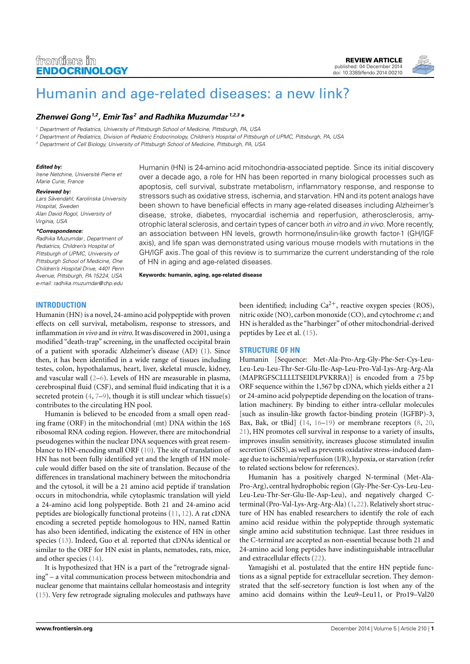# frontiers in **ENDOCRINOLOGY**

[REVIEW ARTICLE](http://www.frontiersin.org/Endocrinology/editorialboard) [published: 04 December 2014](http://www.frontiersin.org/Endocrinology/editorialboard) [doi: 10.3389/fendo.2014.00210](http://www.frontiersin.org/Endocrinology/editorialboard)



# [Humanin and age-related diseases: a new link?](http://www.frontiersin.org/Journal/10.3389/fendo.2014.00210/abstract)

# **[Zhenwei Gong](http://www.frontiersin.org/people/u/142000)1,2, [Emir Tas](http://www.frontiersin.org/people/u/183142) <sup>2</sup> and [Radhika Muzumdar](http://www.frontiersin.org/people/u/138401) 1,2,3\***

<sup>1</sup> Department of Pediatrics, University of Pittsburgh School of Medicine, Pittsburgh, PA, USA

<sup>2</sup> Department of Pediatrics, Division of Pediatric Endocrinology, Children's Hospital of Pittsburgh of UPMC, Pittsburgh, PA, USA

<sup>3</sup> Department of Cell Biology, University of Pittsburgh School of Medicine, Pittsburgh, PA, USA

### **Edited by:**

Irene Netchine, Université Pierre et Marie Curie, France

#### **Reviewed by:**

Lars Sävendahl, Karolinska University Hospital, Sweden Alan David Rogol, University of Virginia, USA

#### **\*Correspondence:**

Radhika Muzumdar, Department of Pediatrics, Children's Hospital of Pittsburgh of UPMC, University of Pittsburgh School of Medicine, One Children's Hospital Drive, 4401 Penn Avenue, Pittsburgh, PA 15224, USA e-mail: [radhika.muzumdar@chp.edu](mailto:radhika.muzumdar@chp.edu)

Humanin (HN) is 24-amino acid mitochondria-associated peptide. Since its initial discovery over a decade ago, a role for HN has been reported in many biological processes such as apoptosis, cell survival, substrate metabolism, inflammatory response, and response to stressors such as oxidative stress, ischemia, and starvation. HN and its potent analogs have been shown to have beneficial effects in many age-related diseases including Alzheimer's disease, stroke, diabetes, myocardial ischemia and reperfusion, atherosclerosis, amyotrophic lateral sclerosis, and certain types of cancer both in vitro and in vivo. More recently, an association between HN levels, growth hormone/insulin-like growth factor-1 (GH/IGF axis), and life span was demonstrated using various mouse models with mutations in the GH/IGF axis. The goal of this review is to summarize the current understanding of the role of HN in aging and age-related diseases.

**Keywords: humanin, aging, age-related disease**

### **INTRODUCTION**

Humanin (HN) is a novel, 24-amino acid polypeptide with proven effects on cell survival, metabolism, response to stressors, and inflammation *in vivo* and *in vitro*. It was discovered in 2001, using a modified "death-trap" screening, in the unaffected occipital brain of a patient with sporadic Alzheimer's disease (AD) [\(1\)](#page-6-0). Since then, it has been identified in a wide range of tissues including testes, colon, hypothalamus, heart, liver, skeletal muscle, kidney, and vascular wall [\(2–](#page-6-1)[6\)](#page-6-2). Levels of HN are measurable in plasma, cerebrospinal fluid (CSF), and seminal fluid indicating that it is a secreted protein  $(4, 7-9)$  $(4, 7-9)$  $(4, 7-9)$  $(4, 7-9)$ , though it is still unclear which tissue(s) contributes to the circulating HN pool.

Humanin is believed to be encoded from a small open reading frame (ORF) in the mitochondrial (mt) DNA within the 16S ribosomal RNA coding region. However, there are mitochondrial pseudogenes within the nuclear DNA sequences with great resemblance to HN-encoding small ORF [\(10\)](#page-6-6). The site of translation of HN has not been fully identified yet and the length of HN molecule would differ based on the site of translation. Because of the differences in translational machinery between the mitochondria and the cytosol, it will be a 21 amino acid peptide if translation occurs in mitochondria, while cytoplasmic translation will yield a 24-amino acid long polypeptide. Both 21 and 24-amino acid peptides are biologically functional proteins [\(11,](#page-7-0) [12\)](#page-7-1). A rat cDNA encoding a secreted peptide homologous to HN, named Rattin has also been identified, indicating the existence of HN in other species [\(13\)](#page-7-2). Indeed, Guo et al. reported that cDNAs identical or similar to the ORF for HN exist in plants, nematodes, rats, mice, and other species [\(14\)](#page-7-3).

It is hypothesized that HN is a part of the "retrograde signaling" – a vital communication process between mitochondria and nuclear genome that maintains cellular homeostasis and integrity [\(15\)](#page-7-4). Very few retrograde signaling molecules and pathways have

been identified; including  $Ca^{2+}$ , reactive oxygen species (ROS), nitric oxide (NO), carbon monoxide (CO), and cytochrome *c*; and HN is heralded as the "harbinger" of other mitochondrial-derived peptides by Lee et al. [\(15\)](#page-7-4).

# **STRUCTURE OF HN**

Humanin [Sequence: Met-Ala-Pro-Arg-Gly-Phe-Ser-Cys-Leu-Leu-Leu-Leu-Thr-Ser-Glu-Ile-Asp-Leu-Pro-Val-Lys-Arg-Arg-Ala (MAPRGFSCLLLLTSEIDLPVKRRA)] is encoded from a 75 bp ORF sequence within the 1,567 bp cDNA, which yields either a 21 or 24-amino acid polypeptide depending on the location of translation machinery. By binding to either intra-cellular molecules [such as insulin-like growth factor-binding protein (IGFBP)-3, Bax, Bak, or tBid] [\(14,](#page-7-3) [16](#page-7-5)[–19\)](#page-7-6) or membrane receptors [\(8,](#page-6-7) [20,](#page-7-7) [21\)](#page-7-8), HN promotes cell survival in response to a variety of insults, improves insulin sensitivity, increases glucose stimulated insulin secretion (GSIS), as well as prevents oxidative stress-induced damage due to ischemia/reperfusion (I/R), hypoxia, or starvation (refer to related sections below for references).

Humanin has a positively charged N-terminal (Met-Ala-Pro-Arg), central hydrophobic region (Gly-Phe-Ser-Cys-Leu-Leu-Leu-Leu-Thr-Ser-Glu-Ile-Asp-Leu), and negatively charged Cterminal (Pro-Val-Lys-Arg-Arg-Ala) [\(1,](#page-6-0) [22\)](#page-7-9). Relatively short structure of HN has enabled researchers to identify the role of each amino acid residue within the polypeptide through systematic single amino acid substitution technique. Last three residues in the C-terminal are accepted as non-essential because both 21 and 24-amino acid long peptides have indistinguishable intracellular and extracellular effects [\(22\)](#page-7-9).

Yamagishi et al. postulated that the entire HN peptide functions as a signal peptide for extracellular secretion. They demonstrated that the self-secretory function is lost when any of the amino acid domains within the Leu9–Leu11, or Pro19–Val20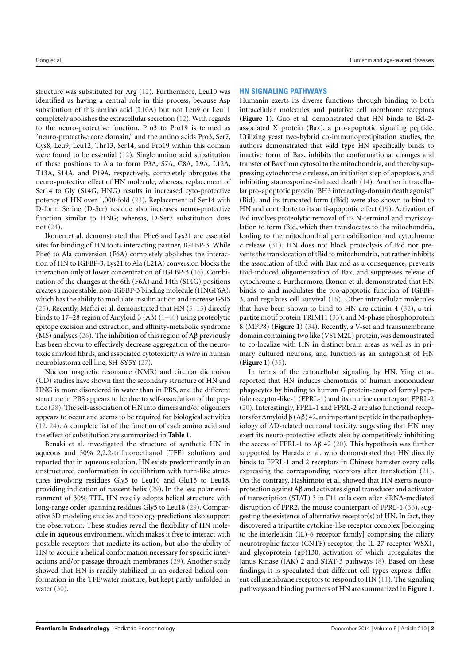structure was substituted for Arg [\(12\)](#page-7-1). Furthermore, Leu10 was identified as having a central role in this process, because Asp substitution of this amino acid (L10A) but not Leu9 or Leu11 completely abolishes the extracellular secretion [\(12\)](#page-7-1). With regards to the neuro-protective function, Pro3 to Pro19 is termed as "neuro-protective core domain," and the amino acids Pro3, Ser7, Cys8, Leu9, Leu12, Thr13, Ser14, and Pro19 within this domain were found to be essential [\(12\)](#page-7-1). Single amino acid substitution of these positions to Ala to form P3A, S7A, C8A, L9A, L12A, T13A, S14A, and P19A, respectively, completely abrogates the neuro-protective effect of HN molecule, whereas, replacement of Ser14 to Gly (S14G, HNG) results in increased cyto-protective potency of HN over 1,000-fold [\(23\)](#page-7-10). Replacement of Ser14 with D-form Serine (D-Ser) residue also increases neuro-protective function similar to HNG; whereas, D-Ser7 substitution does not [\(24\)](#page-7-11).

Ikonen et al. demonstrated that Phe6 and Lys21 are essential sites for binding of HN to its interacting partner, IGFBP-3. While Phe6 to Ala conversion (F6A) completely abolishes the interaction of HN to IGFBP-3, Lys21 to Ala (L21A) conversion blocks the interaction only at lower concentration of IGFBP-3 [\(16\)](#page-7-5). Combination of the changes at the 6th (F6A) and 14th (S14G) positions creates a more stable, non-IGFBP-3 binding molecule (HNGF6A), which has the ability to modulate insulin action and increase GSIS [\(25\)](#page-7-12). Recently, Maftei et al. demonstrated that HN [\(5](#page-6-8)[–15\)](#page-7-4) directly binds to 17–28 region of Amyloid β (Aβ) [\(1–](#page-6-0)[40\)](#page-7-13) using proteolytic epitope excision and extraction, and affinity-metabolic syndrome (MS) analyses [\(26\)](#page-7-14). The inhibition of this region of Aβ previously has been shown to effectively decrease aggregation of the neurotoxic amyloid fibrils, and associated cytotoxicity *in vitro* in human neuroblastoma cell line, SH-SY5Y [\(27\)](#page-7-15).

Nuclear magnetic resonance (NMR) and circular dichroism (CD) studies have shown that the secondary structure of HN and HNG is more disordered in water than in PBS, and the different structure in PBS appears to be due to self-association of the peptide [\(28\)](#page-7-16). The self-association of HN into dimers and/or oligomers appears to occur and seems to be required for biological activities [\(12,](#page-7-1) [24\)](#page-7-11). A complete list of the function of each amino acid and the effect of substitution are summarized in **[Table 1](#page-2-0)**.

Benaki et al. investigated the structure of synthetic HN in aqueous and 30% 2,2,2-trifluoroethanol (TFE) solutions and reported that in aqueous solution, HN exists predominantly in an unstructured conformation in equilibrium with turn-like structures involving residues Gly5 to Leu10 and Glu15 to Leu18, providing indication of nascent helix [\(29\)](#page-7-17). In the less polar environment of 30% TFE, HN readily adopts helical structure with long-range order spanning residues Gly5 to Leu18 [\(29\)](#page-7-17). Comparative 3D modeling studies and topology predictions also support the observation. These studies reveal the flexibility of HN molecule in aqueous environment, which makes it free to interact with possible receptors that mediate its action, but also the ability of HN to acquire a helical conformation necessary for specific interactions and/or passage through membranes [\(29\)](#page-7-17). Another study showed that HN is readily stabilized in an ordered helical conformation in the TFE/water mixture, but kept partly unfolded in water [\(30\)](#page-7-18).

### **HN SIGNALING PATHWAYS**

Humanin exerts its diverse functions through binding to both intracellular molecules and putative cell membrane receptors (**[Figure 1](#page-3-0)**). Guo et al. demonstrated that HN binds to Bcl-2 associated X protein (Bax), a pro-apoptotic signaling peptide. Utilizing yeast two-hybrid co-immunoprecipitation studies, the authors demonstrated that wild type HN specifically binds to inactive form of Bax, inhibits the conformational changes and transfer of Bax from cytosol to the mitochondria, and thereby suppressing cytochrome *c* release, an initiation step of apoptosis, and inhibiting staurosporine-induced death [\(14\)](#page-7-3). Another intracellular pro-apoptotic protein"BH3 interacting-domain death agonist" (Bid), and its truncated form (tBid) were also shown to bind to HN and contribute to its anti-apoptotic effect [\(19\)](#page-7-6). Activation of Bid involves proteolytic removal of its N-terminal and myristoylation to form tBid, which then translocates to the mitochondria, leading to the mitochondrial permeabilization and cytochrome *c* release [\(31\)](#page-7-19). HN does not block proteolysis of Bid nor prevents the translocation of tBid to mitochondria, but rather inhibits the association of tBid with Bax and as a consequence, prevents tBid-induced oligomerization of Bax, and suppresses release of cytochrome *c*. Furthermore, Ikonen et al. demonstrated that HN binds to and modulates the pro-apoptotic function of IGFBP-3, and regulates cell survival [\(16\)](#page-7-5). Other intracellular molecules that have been shown to bind to HN are actinin-4 [\(32\)](#page-7-20), a tripartite motif protein TRIM11 [\(33\)](#page-7-21), and M-phase phosphoprotein 8 (MPP8) (**[Figure 1](#page-3-0)**) [\(34\)](#page-7-22). Recently, a V-set and transmembrane domain containing two like (VSTM2L) protein, was demonstrated to co-localize with HN in distinct brain areas as well as in primary cultured neurons, and function as an antagonist of HN (**[Figure 1](#page-3-0)**) [\(35\)](#page-7-23).

In terms of the extracellular signaling by HN, Ying et al. reported that HN induces chemotaxis of human mononuclear phagocytes by binding to human G protein-coupled formyl peptide receptor-like-1 (FPRL-1) and its murine counterpart FPRL-2 [\(20\)](#page-7-7). Interestingly, FPRL-1 and FPRL-2 are also functional receptors for Amyloid β (Aβ) 42, an important peptide in the pathophysiology of AD-related neuronal toxicity, suggesting that HN may exert its neuro-protective effects also by competitively inhibiting the access of FPRL-1 to Aβ 42 [\(20\)](#page-7-7). This hypothesis was further supported by Harada et al. who demonstrated that HN directly binds to FPRL-1 and 2 receptors in Chinese hamster ovary cells expressing the corresponding receptors after transfection [\(21\)](#page-7-8). On the contrary, Hashimoto et al. showed that HN exerts neuroprotection against Aβ and activates signal transducer and activator of transcription (STAT) 3 in F11 cells even after siRNA-mediated disruption of FPR2, the mouse counterpart of FPRL-1 [\(36\)](#page-7-24), suggesting the existence of alternative receptor(s) of HN. In fact, they discovered a tripartite cytokine-like receptor complex [belonging to the interleukin (IL)-6 receptor family] comprising the ciliary neurotrophic factor (CNTF) receptor, the IL-27 receptor WSX1, and glycoprotein (gp)130, activation of which upregulates the Janus Kinase (JAK) 2 and STAT-3 pathways [\(8\)](#page-6-7). Based on these findings, it is speculated that different cell types express different cell membrane receptors to respond to HN [\(11\)](#page-7-0). The signaling pathways and binding partners of HN are summarized in **[Figure 1](#page-3-0)**.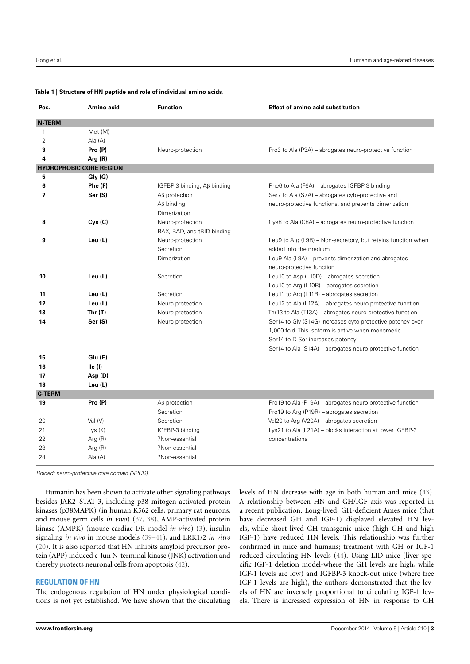#### <span id="page-2-0"></span>**Table 1 | Structure of HN peptide and role of individual amino acids**.

| Pos.           | Amino acid                     | <b>Function</b>                         | <b>Effect of amino acid substitution</b>                     |
|----------------|--------------------------------|-----------------------------------------|--------------------------------------------------------------|
| <b>N-TERM</b>  |                                |                                         |                                                              |
| 1              | Met (M)                        |                                         |                                                              |
| $\overline{2}$ | Ala (A)                        |                                         |                                                              |
| 3              | Pro (P)                        | Neuro-protection                        | Pro3 to Ala (P3A) – abrogates neuro-protective function      |
| 4              | Arg $(R)$                      |                                         |                                                              |
|                | <b>HYDROPHOBIC CORE REGION</b> |                                         |                                                              |
| 5              | Gly (G)                        |                                         |                                                              |
| 6              | Phe (F)                        | IGFBP-3 binding, A <sub>B</sub> binding | Phe6 to Ala (F6A) - abrogates IGFBP-3 binding                |
| $\overline{ }$ | Ser (S)                        | $\Delta\beta$ protection                | Ser7 to Ala (S7A) – abrogates cyto-protective and            |
|                |                                | $\Delta\beta$ binding                   | neuro-protective functions, and prevents dimerization        |
|                |                                | Dimerization                            |                                                              |
| 8              | Cys(C)                         | Neuro-protection                        | Cys8 to Ala (C8A) – abrogates neuro-protective function      |
|                |                                | BAX, BAD, and tBID binding              |                                                              |
| 9              | Leu (L)                        | Neuro-protection                        | Leu9 to Arg (L9R) – Non-secretory, but retains function when |
|                |                                | Secretion                               | added into the medium                                        |
|                |                                | Dimerization                            | Leu9 Ala (L9A) – prevents dimerization and abrogates         |
|                |                                |                                         | neuro-protective function                                    |
| 10             | Leu (L)                        | Secretion                               | Leu10 to Asp $(L10D)$ – abrogates secretion                  |
|                |                                |                                         | Leu10 to Arg (L10R) - abrogates secretion                    |
| 11             | Leu (L)                        | Secretion                               | Leu11 to Arg ( $L11R$ ) – abrogates secretion                |
| 12             | Leu (L)                        | Neuro-protection                        | Leu12 to Ala (L12A) – abrogates neuro-protective function    |
| 13             | Thr $(T)$                      | Neuro-protection                        | Thr13 to Ala (T13A) - abrogates neuro-protective function    |
| 14             | Ser (S)                        | Neuro-protection                        | Ser14 to Gly (S14G) increases cyto-protective potency over   |
|                |                                |                                         | 1.000-fold. This isoform is active when monomeric            |
|                |                                |                                         | Ser14 to D-Ser increases potency                             |
|                |                                |                                         | Ser14 to Ala (S14A) - abrogates neuro-protective function    |
| 15             | Glu (E)                        |                                         |                                                              |
| 16             | lle(1)                         |                                         |                                                              |
| 17             | Asp (D)                        |                                         |                                                              |
| 18             | Leu (L)                        |                                         |                                                              |
| <b>C-TERM</b>  |                                |                                         |                                                              |
| 19             | Pro (P)                        | $\mathsf{A}\mathsf{B}$ protection       | Pro19 to Ala (P19A) - abrogates neuro-protective function    |
|                |                                | Secretion                               | Pro19 to Arg (P19R) - abrogates secretion                    |
| 20             | Val (V)                        | Secretion                               | Val20 to Arg (V20A) - abrogates secretion                    |
| 21             | Lys(K)                         | IGFBP-3 binding                         | Lys21 to Ala (L21A) - blocks interaction at lower IGFBP-3    |
| 22             | Arg (R)                        | ?Non-essential                          | concentrations                                               |
| 23             | Arg (R)                        | ?Non-essential                          |                                                              |
| 24             | Ala (A)                        | ?Non-essential                          |                                                              |
|                |                                |                                         |                                                              |

Bolded: neuro-protective core domain (NPCD).

Humanin has been shown to activate other signaling pathways besides JAK2–STAT-3, including p38 mitogen-activated protein kinases (p38MAPK) (in human K562 cells, primary rat neurons, and mouse germ cells *in vivo*) [\(37,](#page-7-25) [38\)](#page-7-26), AMP-activated protein kinase (AMPK) (mouse cardiac I/R model *in vivo*) [\(3\)](#page-6-9), insulin signaling *in vivo* in mouse models [\(39](#page-7-27)[–41\)](#page-7-28), and ERK1/2 *in vitro* [\(20\)](#page-7-7). It is also reported that HN inhibits amyloid precursor protein (APP) induced c-Jun N-terminal kinase (JNK) activation and thereby protects neuronal cells from apoptosis [\(42\)](#page-7-29).

### **REGULATION OF HN**

The endogenous regulation of HN under physiological conditions is not yet established. We have shown that the circulating levels of HN decrease with age in both human and mice [\(43\)](#page-7-30). A relationship between HN and GH/IGF axis was reported in a recent publication. Long-lived, GH-deficient Ames mice (that have decreased GH and IGF-1) displayed elevated HN levels, while short-lived GH-transgenic mice (high GH and high IGF-1) have reduced HN levels. This relationship was further confirmed in mice and humans; treatment with GH or IGF-1 reduced circulating HN levels [\(44\)](#page-7-31). Using LID mice (liver specific IGF-1 deletion model-where the GH levels are high, while IGF-1 levels are low) and IGFBP-3 knock-out mice (where free IGF-1 levels are high), the authors demonstrated that the levels of HN are inversely proportional to circulating IGF-1 levels. There is increased expression of HN in response to GH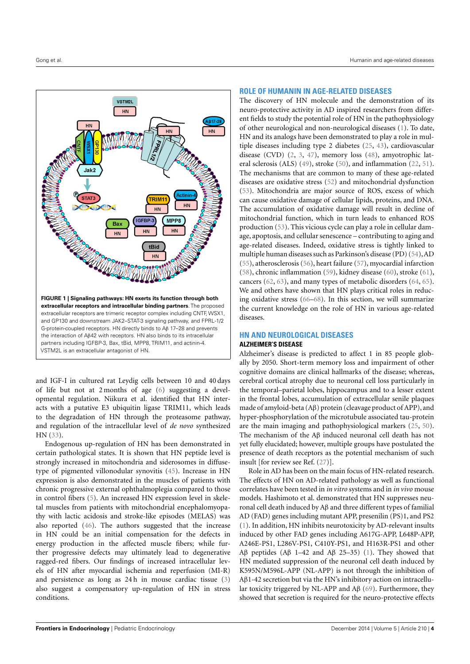

<span id="page-3-0"></span>and IGF-I in cultured rat Leydig cells between 10 and 40 days of life but not at 2 months of age [\(6\)](#page-6-2) suggesting a developmental regulation. Niikura et al. identified that HN interacts with a putative E3 ubiquitin ligase TRIM11, which leads to the degradation of HN through the proteasome pathway, and regulation of the intracellular level of *de novo* synthesized HN [\(33\)](#page-7-21).

Endogenous up-regulation of HN has been demonstrated in certain pathological states. It is shown that HN peptide level is strongly increased in mitochondria and siderosomes in diffusetype of pigmented villonodular synovitis [\(45\)](#page-7-32). Increase in HN expression is also demonstrated in the muscles of patients with chronic progressive external ophthalmoplegia compared to those in control fibers [\(5\)](#page-6-8). An increased HN expression level in skeletal muscles from patients with mitochondrial encephalomyopathy with lactic acidosis and stroke-like episodes (MELAS) was also reported [\(46\)](#page-7-33). The authors suggested that the increase in HN could be an initial compensation for the defects in energy production in the affected muscle fibers; while further progressive defects may ultimately lead to degenerative ragged-red fibers. Our findings of increased intracellular levels of HN after myocardial ischemia and reperfusion (MI-R) and persistence as long as 24 h in mouse cardiac tissue [\(3\)](#page-6-9) also suggest a compensatory up-regulation of HN in stress conditions.

## **ROLE OF HUMANIN IN AGE-RELATED DISEASES**

The discovery of HN molecule and the demonstration of its neuro-protective activity in AD inspired researchers from different fields to study the potential role of HN in the pathophysiology of other neurological and non-neurological diseases [\(1\)](#page-6-0). To date, HN and its analogs have been demonstrated to play a role in multiple diseases including type 2 diabetes [\(25,](#page-7-12) [43\)](#page-7-30), cardiovascular disease (CVD) [\(2,](#page-6-1) [3,](#page-6-9) [47\)](#page-7-34), memory loss [\(48\)](#page-7-35), amyotrophic lateral sclerosis (ALS) [\(49\)](#page-8-0), stroke [\(50\)](#page-8-1), and inflammation [\(22,](#page-7-9) [51\)](#page-8-2). The mechanisms that are common to many of these age-related diseases are oxidative stress [\(52\)](#page-8-3) and mitochondrial dysfunction [\(53\)](#page-8-4). Mitochondria are major source of ROS, excess of which can cause oxidative damage of cellular lipids, proteins, and DNA. The accumulation of oxidative damage will result in decline of mitochondrial function, which in turn leads to enhanced ROS production [\(53\)](#page-8-4). This vicious cycle can play a role in cellular damage, apoptosis, and cellular senescence – contributing to aging and age-related diseases. Indeed, oxidative stress is tightly linked to multiple human diseases such as Parkinson's disease (PD) [\(54\)](#page-8-5),AD [\(55\)](#page-8-6), atherosclerosis [\(56\)](#page-8-7), heart failure [\(57\)](#page-8-8), myocardial infarction [\(58\)](#page-8-9), chronic inflammation [\(59\)](#page-8-10), kidney disease [\(60\)](#page-8-11), stroke [\(61\)](#page-8-12), cancers [\(62,](#page-8-13) [63\)](#page-8-14), and many types of metabolic disorders [\(64,](#page-8-15) [65\)](#page-8-16). We and others have shown that HN plays critical roles in reducing oxidative stress [\(66–](#page-8-17)[68\)](#page-8-18). In this section, we will summarize the current knowledge on the role of HN in various age-related diseases.

# **HN AND NEUROLOGICAL DISEASES**

### **ALZHEIMER'S DISEASE**

Alzheimer's disease is predicted to affect 1 in 85 people globally by 2050. Short-term memory loss and impairment of other cognitive domains are clinical hallmarks of the disease; whereas, cerebral cortical atrophy due to neuronal cell loss particularly in the temporal–parietal lobes, hippocampus and to a lesser extent in the frontal lobes, accumulation of extracellular senile plaques made of amyloid-beta (Aβ) protein (cleavage product of APP), and hyper-phosphorylation of the microtubule associated tau-protein are the main imaging and pathophysiological markers [\(25,](#page-7-12) [50\)](#page-8-1). The mechanism of the Aβ induced neuronal cell death has not yet fully elucidated; however, multiple groups have postulated the presence of death receptors as the potential mechanism of such insult [for review see Ref. [\(27\)](#page-7-15)].

Role in AD has been on the main focus of HN-related research. The effects of HN on AD-related pathology as well as functional correlates have been tested in *in vitro* systems and in *in vivo* mouse models. Hashimoto et al. demonstrated that HN suppresses neuronal cell death induced by Aβ and three different types of familial AD (FAD) genes including mutant APP, presenilin (PS)1, and PS2 [\(1\)](#page-6-0). In addition, HN inhibits neurotoxicity by AD-relevant insults induced by other FAD genes including A617G-APP, L648P-APP, A246E-PS1, L286V-PS1, C410Y-PS1, and H163R-PS1 and other Aβ peptides (Aβ 1–42 and Aβ 25–35) [\(1\)](#page-6-0). They showed that HN mediated suppression of the neuronal cell death induced by K595N/M596L-APP (NL-APP) is not through the inhibition of Aβ1-42 secretion but via the HN's inhibitory action on intracellular toxicity triggered by NL-APP and Aβ [\(69\)](#page-8-19). Furthermore, they showed that secretion is required for the neuro-protective effects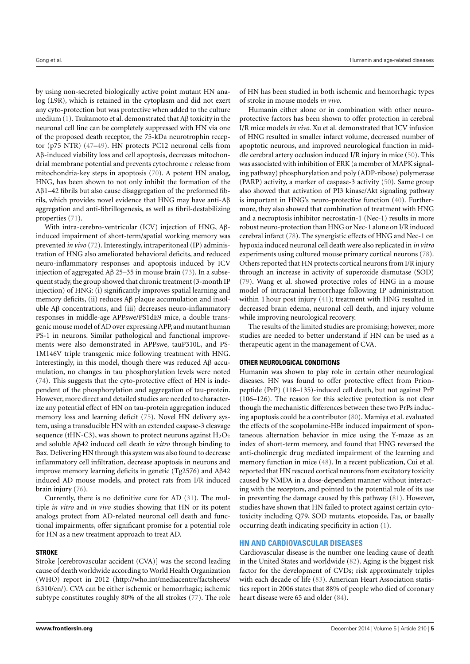by using non-secreted biologically active point mutant HN analog (L9R), which is retained in the cytoplasm and did not exert any cyto-protection but was protective when added to the culture medium [\(1\)](#page-6-0). Tsukamoto et al. demonstrated that Aβ toxicity in the neuronal cell line can be completely suppressed with HN via one of the proposed death receptor, the 75-kDa neurotrophin receptor (p75 NTR) [\(47–](#page-7-34)[49\)](#page-8-0). HN protects PC12 neuronal cells from Aβ-induced viability loss and cell apoptosis, decreases mitochondrial membrane potential and prevents cytochrome *c* release from mitochondria-key steps in apoptosis [\(70\)](#page-8-20). A potent HN analog, HNG, has been shown to not only inhibit the formation of the Aβ1–42 fibrils but also cause disaggregation of the preformed fibrils, which provides novel evidence that HNG may have anti-Aβ aggregation and anti-fibrillogenesis, as well as fibril-destabilizing properties [\(71\)](#page-8-21).

With intra-cerebro-ventricular (ICV) injection of HNG, Aβinduced impairment of short-term/spatial working memory was prevented *in vivo* [\(72\)](#page-8-22). Interestingly, intraperitoneal (IP) administration of HNG also ameliorated behavioral deficits, and reduced neuro-inflammatory responses and apoptosis induced by ICV injection of aggregated Aβ 25–35 in mouse brain [\(73\)](#page-8-23). In a subsequent study, the group showed that chronic treatment (3-month IP injection) of HNG: (i) significantly improves spatial learning and memory deficits, (ii) reduces Aβ plaque accumulation and insoluble Aβ concentrations, and (iii) decreases neuro-inflammatory responses in middle-age APPswe/PS1dE9 mice, a double transgenic mouse model of AD over expressing APP, and mutant human PS-1 in neurons. Similar pathological and functional improvements were also demonstrated in APPswe, tauP310L, and PS-1M146V triple transgenic mice following treatment with HNG. Interestingly, in this model, though there was reduced Aβ accumulation, no changes in tau phosphorylation levels were noted [\(74\)](#page-8-24). This suggests that the cyto-protective effect of HN is independent of the phosphorylation and aggregation of tau-protein. However, more direct and detailed studies are needed to characterize any potential effect of HN on tau-protein aggregation induced memory loss and learning deficit [\(75\)](#page-8-25). Novel HN delivery system, using a transducible HN with an extended caspase-3 cleavage sequence (tHN-C3), was shown to protect neurons against  $H_2O_2$ and soluble Aβ42 induced cell death *in vitro* through binding to Bax. Delivering HN through this system was also found to decrease inflammatory cell infiltration, decrease apoptosis in neurons and improve memory learning deficits in genetic (Tg2576) and Aβ42 induced AD mouse models, and protect rats from I/R induced brain injury [\(76\)](#page-8-26).

Currently, there is no definitive cure for AD [\(31\)](#page-7-19). The multiple *in vitro* and *in vivo* studies showing that HN or its potent analogs protect from AD-related neuronal cell death and functional impairments, offer significant promise for a potential role for HN as a new treatment approach to treat AD.

# **STROKE**

Stroke [cerebrovascular accident (CVA)] was the second leading cause of death worldwide according to World Health Organization (WHO) report in 2012 [\(http://who.int/mediacentre/factsheets/](http://who.int/mediacentre/factsheets/fs310/en/) [fs310/en/\)](http://who.int/mediacentre/factsheets/fs310/en/). CVA can be either ischemic or hemorrhagic; ischemic subtype constitutes roughly 80% of the all strokes [\(77\)](#page-8-27). The role

of HN has been studied in both ischemic and hemorrhagic types of stroke in mouse models *in vivo*.

Humanin either alone or in combination with other neuroprotective factors has been shown to offer protection in cerebral I/R mice models *in vivo*. Xu et al. demonstrated that ICV infusion of HNG resulted in smaller infarct volume, decreased number of apoptotic neurons, and improved neurological function in middle cerebral artery occlusion induced I/R injury in mice [\(50\)](#page-8-1). This was associated with inhibition of ERK (a member of MAPK signaling pathway) phosphorylation and poly (ADP-ribose) polymerase (PARP) activity, a marker of caspase-3 activity [\(50\)](#page-8-1). Same group also showed that activation of PI3 kinase/Akt signaling pathway is important in HNG's neuro-protective function [\(40\)](#page-7-13). Furthermore, they also showed that combination of treatment with HNG and a necroptosis inhibitor necrostatin-1 (Nec-1) results in more robust neuro-protection than HNG or Nec-1 alone on I/R induced cerebral infarct [\(78\)](#page-8-28). The synergistic effects of HNG and Nec-1 on hypoxia induced neuronal cell death were also replicated in *in vitro* experiments using cultured mouse primary cortical neurons [\(78\)](#page-8-28). Others reported that HN protects cortical neurons from I/R injury through an increase in activity of superoxide dismutase (SOD) [\(79\)](#page-8-29). Wang et al. showed protective roles of HNG in a mouse model of intracranial hemorrhage following IP administration within 1 hour post injury [\(41\)](#page-7-28); treatment with HNG resulted in decreased brain edema, neuronal cell death, and injury volume while improving neurological recovery.

The results of the limited studies are promising; however, more studies are needed to better understand if HN can be used as a therapeutic agent in the management of CVA.

### **OTHER NEUROLOGICAL CONDITIONS**

Humanin was shown to play role in certain other neurological diseases. HN was found to offer protective effect from Prionpeptide (PrP) (118–135)-induced cell death, but not against PrP (106–126). The reason for this selective protection is not clear though the mechanistic differences between these two PrPs inducing apoptosis could be a contributor [\(80\)](#page-8-30). Mamiya et al. evaluated the effects of the scopolamine-HBr induced impairment of spontaneous alternation behavior in mice using the Y-maze as an index of short-term memory, and found that HNG reversed the anti-cholinergic drug mediated impairment of the learning and memory function in mice [\(48\)](#page-7-35). In a recent publication, Cui et al. reported that HN rescued cortical neurons from excitatory toxicity caused by NMDA in a dose-dependent manner without interacting with the receptors, and pointed to the potential role of its use in preventing the damage caused by this pathway [\(81\)](#page-8-31). However, studies have shown that HN failed to protect against certain cytotoxicity including Q79, SOD mutants, etoposide, Fas, or basally occurring death indicating specificity in action [\(1\)](#page-6-0).

# **HN AND CARDIOVASCULAR DISEASES**

Cardiovascular disease is the number one leading cause of death in the United States and worldwide [\(82\)](#page-8-32). Aging is the biggest risk factor for the development of CVDs; risk approximately triples with each decade of life [\(83\)](#page-8-33). American Heart Association statistics report in 2006 states that 88% of people who died of coronary heart disease were 65 and older [\(84\)](#page-8-34).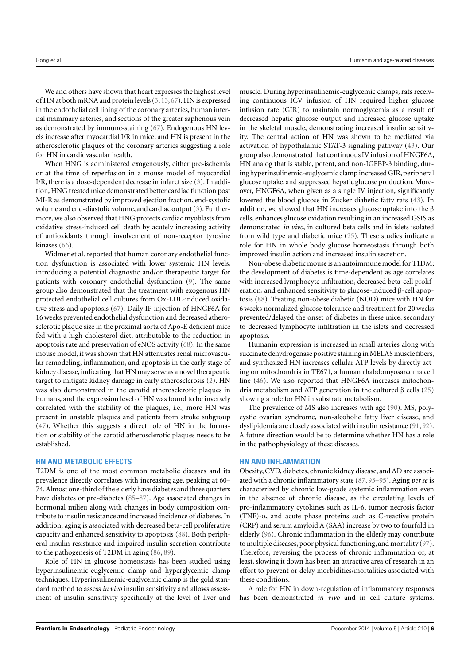We and others have shown that heart expresses the highest level of HN at both mRNA and protein levels [\(3,](#page-6-9)[13,](#page-7-2)[67\)](#page-8-35). HN is expressed in the endothelial cell lining of the coronary arteries, human internal mammary arteries, and sections of the greater saphenous vein as demonstrated by immune-staining [\(67\)](#page-8-35). Endogenous HN levels increase after myocardial I/R in mice, and HN is present in the atherosclerotic plaques of the coronary arteries suggesting a role for HN in cardiovascular health.

When HNG is administered exogenously, either pre-ischemia or at the time of reperfusion in a mouse model of myocardial I/R, there is a dose-dependent decrease in infarct size [\(3\)](#page-6-9). In addition, HNG treated mice demonstrated better cardiac function post MI-R as demonstrated by improved ejection fraction, end-systolic volume and end-diastolic volume, and cardiac output [\(3\)](#page-6-9). Furthermore, we also observed that HNG protects cardiac myoblasts from oxidative stress-induced cell death by acutely increasing activity of antioxidants through involvement of non-receptor tyrosine kinases [\(66\)](#page-8-17).

Widmer et al. reported that human coronary endothelial function dysfunction is associated with lower systemic HN levels, introducing a potential diagnostic and/or therapeutic target for patients with coronary endothelial dysfunction [\(9\)](#page-6-5). The same group also demonstrated that the treatment with exogenous HN protected endothelial cell cultures from Ox-LDL-induced oxidative stress and apoptosis [\(67\)](#page-8-35). Daily IP injection of HNGF6A for 16 weeks prevented endothelial dysfunction and decreased atherosclerotic plaque size in the proximal aorta of Apo-E deficient mice fed with a high-cholesterol diet, attributable to the reduction in apoptosis rate and preservation of eNOS activity [\(68\)](#page-8-18). In the same mouse model, it was shown that HN attenuates renal microvascular remodeling, inflammation, and apoptosis in the early stage of kidney disease, indicating that HN may serve as a novel therapeutic target to mitigate kidney damage in early atherosclerosis [\(2\)](#page-6-1). HN was also demonstrated in the carotid atherosclerotic plaques in humans, and the expression level of HN was found to be inversely correlated with the stability of the plaques, i.e., more HN was present in unstable plaques and patients from stroke subgroup [\(47\)](#page-7-34). Whether this suggests a direct role of HN in the formation or stability of the carotid atherosclerotic plaques needs to be established.

# **HN AND METABOLIC EFFECTS**

T2DM is one of the most common metabolic diseases and its prevalence directly correlates with increasing age, peaking at 60– 74. Almost one-third of the elderly have diabetes and three quarters have diabetes or pre-diabetes [\(85](#page-8-36)[–87\)](#page-8-37). Age associated changes in hormonal milieu along with changes in body composition contribute to insulin resistance and increased incidence of diabetes. In addition, aging is associated with decreased beta-cell proliferative capacity and enhanced sensitivity to apoptosis [\(88\)](#page-8-38). Both peripheral insulin resistance and impaired insulin secretion contribute to the pathogenesis of T2DM in aging [\(86,](#page-8-39) [89\)](#page-8-40).

Role of HN in glucose homeostasis has been studied using hyperinsulinemic-euglycemic clamp and hyperglycemic clamp techniques. Hyperinsulinemic-euglycemic clamp is the gold standard method to assess *in vivo* insulin sensitivity and allows assessment of insulin sensitivity specifically at the level of liver and muscle. During hyperinsulinemic-euglycemic clamps, rats receiving continuous ICV infusion of HN required higher glucose infusion rate (GIR) to maintain normoglycemia as a result of decreased hepatic glucose output and increased glucose uptake in the skeletal muscle, demonstrating increased insulin sensitivity. The central action of HN was shown to be mediated via activation of hypothalamic STAT-3 signaling pathway [\(43\)](#page-7-30). Our group also demonstrated that continuous IV infusion of HNGF6A, HN analog that is stable, potent, and non-IGFBP-3 binding, during hyperinsulinemic-euglycemic clamp increased GIR, peripheral glucose uptake, and suppressed hepatic glucose production. Moreover, HNGF6A, when given as a single IV injection, significantly lowered the blood glucose in Zucker diabetic fatty rats [\(43\)](#page-7-30). In addition, we showed that HN increases glucose uptake into the  $\beta$ cells, enhances glucose oxidation resulting in an increased GSIS as demonstrated *in vivo*, in cultured beta cells and in islets isolated from wild type and diabetic mice [\(25\)](#page-7-12). These studies indicate a role for HN in whole body glucose homeostasis through both improved insulin action and increased insulin secretion.

Non-obese diabetic mouse is an autoimmune model for T1DM; the development of diabetes is time-dependent as age correlates with increased lymphocyte infiltration, decreased beta-cell proliferation, and enhanced sensitivity to glucose-induced β-cell apoptosis [\(88\)](#page-8-38). Treating non-obese diabetic (NOD) mice with HN for 6 weeks normalized glucose tolerance and treatment for 20 weeks prevented/delayed the onset of diabetes in these mice, secondary to decreased lymphocyte infiltration in the islets and decreased apoptosis.

Humanin expression is increased in small arteries along with succinate dehydrogenase positive staining in MELAS muscle fibers, and synthesized HN increases cellular ATP levels by directly acting on mitochondria in TE671, a human rhabdomyosarcoma cell line [\(46\)](#page-7-33). We also reported that HNGF6A increases mitochondria metabolism and ATP generation in the cultured β cells [\(25\)](#page-7-12) showing a role for HN in substrate metabolism.

The prevalence of MS also increases with age [\(90\)](#page-8-41). MS, polycystic ovarian syndrome, non-alcoholic fatty liver disease, and dyslipidemia are closely associated with insulin resistance [\(91,](#page-8-42) [92\)](#page-9-0). A future direction would be to determine whether HN has a role in the pathophysiology of these diseases.

# **HN AND INFLAMMATION**

Obesity, CVD, diabetes, chronic kidney disease, and AD are associated with a chronic inflammatory state [\(87,](#page-8-37) [93](#page-9-1)[–95\)](#page-9-2). Aging *per se* is characterized by chronic low-grade systemic inflammation even in the absence of chronic disease, as the circulating levels of pro-inflammatory cytokines such as IL-6, tumor necrosis factor (TNF)-α, and acute phase proteins such as C-reactive protein (CRP) and serum amyloid A (SAA) increase by two to fourfold in elderly [\(96\)](#page-9-3). Chronic inflammation in the elderly may contribute to multiple diseases, poor physical functioning, and mortality [\(97\)](#page-9-4). Therefore, reversing the process of chronic inflammation or, at least, slowing it down has been an attractive area of research in an effort to prevent or delay morbidities/mortalities associated with these conditions.

A role for HN in down-regulation of inflammatory responses has been demonstrated *in vivo* and in cell culture systems.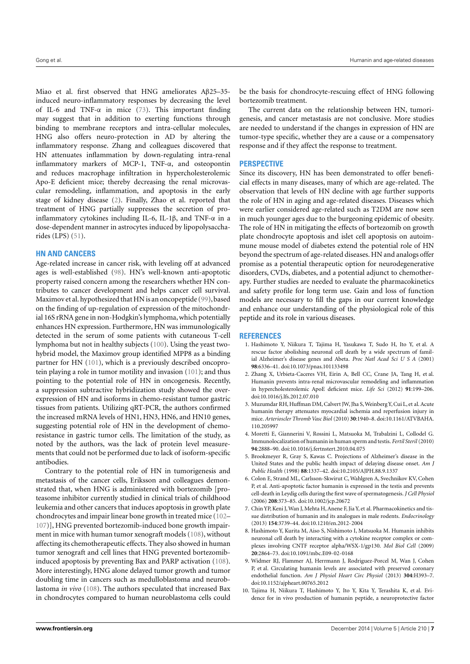Miao et al. first observed that HNG ameliorates Aβ25–35 induced neuro-inflammatory responses by decreasing the level of IL-6 and TNF- $\alpha$  in mice [\(73\)](#page-8-23). This important finding may suggest that in addition to exerting functions through binding to membrane receptors and intra-cellular molecules, HNG also offers neuro-protection in AD by altering the inflammatory response. Zhang and colleagues discovered that HN attenuates inflammation by down-regulating intra-renal inflammatory markers of MCP-1, TNF-α, and osteopontin and reduces macrophage infiltration in hypercholesterolemic Apo-E deficient mice; thereby decreasing the renal microvascular remodeling, inflammation, and apoptosis in the early stage of kidney disease [\(2\)](#page-6-1). Finally, Zhao et al. reported that treatment of HNG partially suppresses the secretion of proinflammatory cytokines including IL-6, IL-1 $\beta$ , and TNF- $\alpha$  in a dose-dependent manner in astrocytes induced by lipopolysaccharides (LPS) [\(51\)](#page-8-2).

## **HN AND CANCERS**

Age-related increase in cancer risk, with leveling off at advanced ages is well-established [\(98\)](#page-9-5). HN's well-known anti-apoptotic property raised concern among the researchers whether HN contributes to cancer development and helps cancer cell survival. Maximov et al. hypothesized that HN is an oncopeptide [\(99\)](#page-9-6), based on the finding of up-regulation of expression of the mitochondrial 16S rRNA gene in non-Hodgkin's lymphoma, which potentially enhances HN expression. Furthermore, HN was immunologically detected in the serum of some patients with cutaneous T-cell lymphoma but not in healthy subjects [\(100\)](#page-9-7). Using the yeast twohybrid model, the Maximov group identified MPP8 as a binding partner for HN [\(101\)](#page-9-8), which is a previously described oncoprotein playing a role in tumor motility and invasion [\(101\)](#page-9-8); and thus pointing to the potential role of HN in oncogenesis. Recently, a suppression subtractive hybridization study showed the overexpression of HN and isoforms in chemo-resistant tumor gastric tissues from patients. Utilizing qRT-PCR, the authors confirmed the increased mRNA levels of HN1, HN3, HN6, and HN10 genes, suggesting potential role of HN in the development of chemoresistance in gastric tumor cells. The limitation of the study, as noted by the authors, was the lack of protein level measurements that could not be performed due to lack of isoform-specific antibodies.

Contrary to the potential role of HN in tumorigenesis and metastasis of the cancer cells, Eriksson and colleagues demonstrated that, when HNG is administered with bortezomib [proteasome inhibitor currently studied in clinical trials of childhood leukemia and other cancers that induces apoptosis in growth plate chondrocytes and impair linear bone growth in treated mice [\(102–](#page-9-9) [107\)](#page-9-10)], HNG prevented bortezomib-induced bone growth impairment in mice with human tumor xenograft models [\(108\)](#page-9-11), without affecting its chemotherapeutic effects. They also showed in human tumor xenograft and cell lines that HNG prevented bortezomibinduced apoptosis by preventing Bax and PARP activation [\(108\)](#page-9-11). More interestingly, HNG alone delayed tumor growth and tumor doubling time in cancers such as medulloblastoma and neuroblastoma *in vivo* [\(108\)](#page-9-11). The authors speculated that increased Bax in chondrocytes compared to human neuroblastoma cells could

be the basis for chondrocyte-rescuing effect of HNG following bortezomib treatment.

The current data on the relationship between HN, tumorigenesis, and cancer metastasis are not conclusive. More studies are needed to understand if the changes in expression of HN are tumor-type specific, whether they are a cause or a compensatory response and if they affect the response to treatment.

# **PERSPECTIVE**

Since its discovery, HN has been demonstrated to offer beneficial effects in many diseases, many of which are age-related. The observation that levels of HN decline with age further supports the role of HN in aging and age-related diseases. Diseases which were earlier considered age-related such as T2DM are now seen in much younger ages due to the burgeoning epidemic of obesity. The role of HN in mitigating the effects of bortezomib on growth plate chondrocyte apoptosis and islet cell apoptosis on autoimmune mouse model of diabetes extend the potential role of HN beyond the spectrum of age-related diseases. HN and analogs offer promise as a potential therapeutic option for neurodegenerative disorders, CVDs, diabetes, and a potential adjunct to chemotherapy. Further studies are needed to evaluate the pharmacokinetics and safety profile for long term use. Gain and loss of function models are necessary to fill the gaps in our current knowledge and enhance our understanding of the physiological role of this peptide and its role in various diseases.

### **REFERENCES**

- <span id="page-6-0"></span>1. Hashimoto Y, Niikura T, Tajima H, Yasukawa T, Sudo H, Ito Y, et al. A rescue factor abolishing neuronal cell death by a wide spectrum of familial Alzheimer's disease genes and Abeta. *Proc Natl Acad Sci U S A* (2001) **98**:6336–41. doi[:10.1073/pnas.101133498](http://dx.doi.org/10.1073/pnas.101133498)
- <span id="page-6-1"></span>2. Zhang X, Urbieta-Caceres VH, Eirin A, Bell CC, Crane JA, Tang H, et al. Humanin prevents intra-renal microvascular remodeling and inflammation in hypercholesterolemic ApoE deficient mice. *Life Sci* (2012) **91**:199–206. doi[:10.1016/j.lfs.2012.07.010](http://dx.doi.org/10.1016/j.lfs.2012.07.010)
- <span id="page-6-9"></span>3. Muzumdar RH, Huffman DM, Calvert JW, Jha S, Weinberg Y, Cui L, et al. Acute humanin therapy attenuates myocardial ischemia and reperfusion injury in mice. *Arterioscler Thromb Vasc Biol* (2010) **30**:1940–8. doi[:10.1161/ATVBAHA.](http://dx.doi.org/10.1161/ATVBAHA.110.205997) [110.205997](http://dx.doi.org/10.1161/ATVBAHA.110.205997)
- <span id="page-6-3"></span>4. Moretti E, Giannerini V, Rossini L, Matsuoka M, Trabalzini L, Collodel G. Immunolocalization of humanin in human sperm and testis. *Fertil Steril* (2010) **94**:2888–90. doi[:10.1016/j.fertnstert.2010.04.075](http://dx.doi.org/10.1016/j.fertnstert.2010.04.075)
- <span id="page-6-8"></span>5. Brookmeyer R, Gray S, Kawas C. Projections of Alzheimer's disease in the United States and the public health impact of delaying disease onset. *Am J Public Health* (1998) **88**:1337–42. doi[:10.2105/AJPH.88.9.1337](http://dx.doi.org/10.2105/AJPH.88.9.1337)
- <span id="page-6-2"></span>6. Colon E, Strand ML, Carlsson-Skwirut C, Wahlgren A, Svechnikov KV, Cohen P, et al. Anti-apoptotic factor humanin is expressed in the testis and prevents cell-death in Leydig cells during the first wave of spermatogenesis. *J Cell Physiol* (2006) **208**:373–85. doi[:10.1002/jcp.20672](http://dx.doi.org/10.1002/jcp.20672)
- <span id="page-6-4"></span>7. Chin YP, Keni J, Wan J, Mehta H, Anene F, Jia Y, et al. Pharmacokinetics and tissue distribution of humanin and its analogues in male rodents. *Endocrinology* (2013) **154**:3739–44. doi[:10.1210/en.2012-2004](http://dx.doi.org/10.1210/en.2012-2004)
- <span id="page-6-7"></span>8. Hashimoto Y, Kurita M, Aiso S, Nishimoto I, Matsuoka M. Humanin inhibits neuronal cell death by interacting with a cytokine receptor complex or complexes involving CNTF receptor alpha/WSX-1/gp130. *Mol Biol Cell* (2009) **20**:2864–73. doi[:10.1091/mbc.E09-02-0168](http://dx.doi.org/10.1091/mbc.E09-02-0168)
- <span id="page-6-5"></span>9. Widmer RJ, Flammer AJ, Herrmann J, Rodriguez-Porcel M, Wan J, Cohen P, et al. Circulating humanin levels are associated with preserved coronary endothelial function. *Am J Physiol Heart Circ Physiol* (2013) **304**:H393–7. doi[:10.1152/ajpheart.00765.2012](http://dx.doi.org/10.1152/ajpheart.00765.2012)
- <span id="page-6-6"></span>10. Tajima H, Niikura T, Hashimoto Y, Ito Y, Kita Y, Terashita K, et al. Evidence for in vivo production of humanin peptide, a neuroprotective factor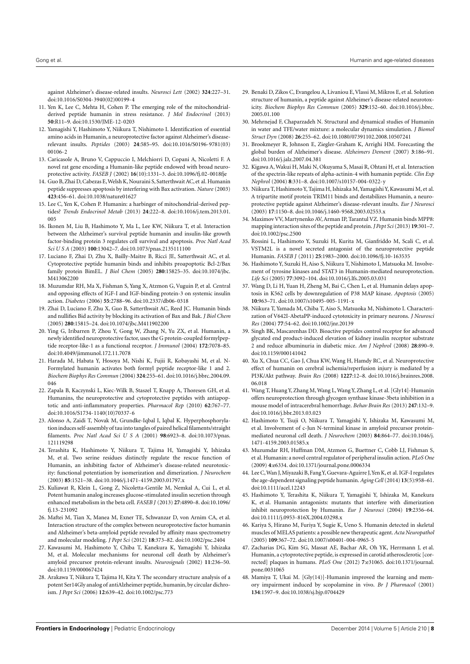against Alzheimer's disease-related insults. *Neurosci Lett* (2002) **324**:227–31. doi[:10.1016/S0304-3940\(02\)00199-4](http://dx.doi.org/10.1016/S0304-3940(02)00199-4)

- <span id="page-7-0"></span>11. Yen K, Lee C, Mehta H, Cohen P. The emerging role of the mitochondrialderived peptide humanin in stress resistance. *J Mol Endocrinol* (2013) **50**:R11–9. doi[:10.1530/JME-12-0203](http://dx.doi.org/10.1530/JME-12-0203)
- <span id="page-7-1"></span>12. Yamagishi Y, Hashimoto Y, Niikura T, Nishimoto I. Identification of essential amino acids in Humanin, a neuroprotective factor against Alzheimer's diseaserelevant insults. *Peptides* (2003) **24**:585–95. doi[:10.1016/S0196-9781\(03\)](http://dx.doi.org/10.1016/S0196-9781(03)00106-2) [00106-2](http://dx.doi.org/10.1016/S0196-9781(03)00106-2)
- <span id="page-7-2"></span>13. Caricasole A, Bruno V, Cappuccio I, Melchiorri D, Copani A, Nicoletti F. A novel rat gene encoding a Humanin-like peptide endowed with broad neuroprotective activity. *FASEB J* (2002) **16**(10):1331–3. doi[:10.1096/fj.02-0018fje](http://dx.doi.org/10.1096/fj.02-0018fje)
- <span id="page-7-3"></span>14. Guo B, Zhai D, Cabezas E,Welsh K, Nouraini S, Satterthwait AC, et al. Humanin peptide suppresses apoptosis by interfering with Bax activation. *Nature* (2003) **423**:456–61. doi[:10.1038/nature01627](http://dx.doi.org/10.1038/nature01627)
- <span id="page-7-4"></span>15. Lee C, Yen K, Cohen P. Humanin: a harbinger of mitochondrial-derived peptides? *Trends Endocrinol Metab* (2013) **24**:222–8. doi[:10.1016/j.tem.2013.01.](http://dx.doi.org/10.1016/j.tem.2013.01.005) [005](http://dx.doi.org/10.1016/j.tem.2013.01.005)
- <span id="page-7-5"></span>16. Ikonen M, Liu B, Hashimoto Y, Ma L, Lee KW, Niikura T, et al. Interaction between the Alzheimer's survival peptide humanin and insulin-like growth factor-binding protein 3 regulates cell survival and apoptosis. *Proc Natl Acad Sci U S A* (2003) **100**:13042–7. doi[:10.1073/pnas.2135111100](http://dx.doi.org/10.1073/pnas.2135111100)
- 17. Luciano F, Zhai D, Zhu X, Bailly-Maitre B, Ricci JE, Satterthwait AC, et al. Cytoprotective peptide humanin binds and inhibits proapoptotic Bcl-2/Bax family protein BimEL. *J Biol Chem* (2005) **280**:15825–35. doi[:10.1074/jbc.](http://dx.doi.org/10.1074/jbc.M413062200) [M413062200](http://dx.doi.org/10.1074/jbc.M413062200)
- 18. Muzumdar RH, Ma X, Fishman S, Yang X, Atzmon G, Vuguin P, et al. Central and opposing effects of IGF-I and IGF-binding protein-3 on systemic insulin action. *Diabetes* (2006) **55**:2788–96. doi[:10.2337/db06-0318](http://dx.doi.org/10.2337/db06-0318)
- <span id="page-7-6"></span>19. Zhai D, Luciano F, Zhu X, Guo B, Satterthwait AC, Reed JC. Humanin binds and nullifies Bid activity by blocking its activation of Bax and Bak. *J Biol Chem* (2005) **280**:15815–24. doi[:10.1074/jbc.M411902200](http://dx.doi.org/10.1074/jbc.M411902200)
- <span id="page-7-7"></span>20. Ying G, Iribarren P, Zhou Y, Gong W, Zhang N, Yu ZX, et al. Humanin, a newly identified neuroprotective factor, uses the G protein-coupled formylpeptide receptor-like-1 as a functional receptor. *J Immunol* (2004) **172**:7078–85. doi[:10.4049/jimmunol.172.11.7078](http://dx.doi.org/10.4049/jimmunol.172.11.7078)
- <span id="page-7-8"></span>21. Harada M, Habata Y, Hosoya M, Nishi K, Fujii R, Kobayashi M, et al. N-Formylated humanin activates both formyl peptide receptor-like 1 and 2. *Biochem Biophys Res Commun* (2004) **324**:255–61. doi[:10.1016/j.bbrc.2004.09.](http://dx.doi.org/10.1016/j.bbrc.2004.09.046) [046](http://dx.doi.org/10.1016/j.bbrc.2004.09.046)
- <span id="page-7-9"></span>22. Zapala B, Kaczynski L, Kiec-Wilk B, Staszel T, Knapp A, Thoresen GH, et al. Humanins, the neuroprotective and cytoprotective peptides with antiapoptotic and anti-inflammatory properties. *Pharmacol Rep* (2010) **62**:767–77. doi[:10.1016/S1734-1140\(10\)70337-6](http://dx.doi.org/10.1016/S1734-1140(10)70337-6)
- <span id="page-7-10"></span>23. Alonso A, Zaidi T, Novak M, Grundke-Iqbal I, Iqbal K. Hyperphosphorylation induces self-assembly of tau into tangles of paired helical filaments/straight filaments. *Proc Natl Acad Sci U S A* (2001) **98**:6923–8. doi[:10.1073/pnas.](http://dx.doi.org/10.1073/pnas.121119298) [121119298](http://dx.doi.org/10.1073/pnas.121119298)
- <span id="page-7-11"></span>24. Terashita K, Hashimoto Y, Niikura T, Tajima H, Yamagishi Y, Ishizaka M, et al. Two serine residues distinctly regulate the rescue function of Humanin, an inhibiting factor of Alzheimer's disease-related neurotoxicity: functional potentiation by isomerization and dimerization. *J Neurochem* (2003) **85**:1521–38. doi[:10.1046/j.1471-4159.2003.01797.x](http://dx.doi.org/10.1046/j.1471-4159.2003.01797.x)
- <span id="page-7-12"></span>25. Kuliawat R, Klein L, Gong Z, Nicoletta-Gentile M, Nemkal A, Cui L, et al. Potent humanin analog increases glucose-stimulated insulin secretion through enhanced metabolism in the beta cell. *FASEB J* (2013) **27**:4890–8. doi[:10.1096/](http://dx.doi.org/10.1096/fj.13-231092) [fj.13-231092](http://dx.doi.org/10.1096/fj.13-231092)
- <span id="page-7-14"></span>26. Maftei M, Tian X, Manea M, Exner TE, Schwanzar D, von Arnim CA, et al. Interaction structure of the complex between neuroprotective factor humanin and Alzheimer's beta-amyloid peptide revealed by affinity mass spectrometry and molecular modeling. *J Pept Sci* (2012) **18**:373–82. doi[:10.1002/psc.2404](http://dx.doi.org/10.1002/psc.2404)
- <span id="page-7-15"></span>27. Kawasumi M, Hashimoto Y, Chiba T, Kanekura K, Yamagishi Y, Ishizaka M, et al. Molecular mechanisms for neuronal cell death by Alzheimer's amyloid precursor protein-relevant insults. *Neurosignals* (2002) **11**:236–50. doi[:10.1159/000067424](http://dx.doi.org/10.1159/000067424)
- <span id="page-7-16"></span>28. Arakawa T, Niikura T, Tajima H, Kita Y. The secondary structure analysis of a potent Ser14Gly analog of antiAlzheimer peptide, humanin, by circular dichroism. *J Pept Sci* (2006) **12**:639–42. doi[:10.1002/psc.773](http://dx.doi.org/10.1002/psc.773)
- <span id="page-7-17"></span>29. Benaki D, Zikos C, Evangelou A, Livaniou E, Vlassi M, Mikros E, et al. Solution structure of humanin, a peptide against Alzheimer's disease-related neurotoxicity. *Biochem Biophys Res Commun* (2005) **329**:152–60. doi[:10.1016/j.bbrc.](http://dx.doi.org/10.1016/j.bbrc.2005.01.100) [2005.01.100](http://dx.doi.org/10.1016/j.bbrc.2005.01.100)
- <span id="page-7-18"></span>30. Mehrnejad F, Chaparzadeh N. Structural and dynamical studies of Humanin in water and TFE/water mixture: a molecular dynamics simulation. *J Biomol Struct Dyn* (2008) **26**:255–62. doi[:10.1080/07391102.2008.10507241](http://dx.doi.org/10.1080/07391102.2008.10507241)
- <span id="page-7-19"></span>31. Brookmeyer R, Johnson E, Ziegler-Graham K, Arrighi HM. Forecasting the global burden of Alzheimer's disease. *Alzheimers Dement* (2007) **3**:186–91. doi[:10.1016/j.jalz.2007.04.381](http://dx.doi.org/10.1016/j.jalz.2007.04.381)
- <span id="page-7-20"></span>32. Kigawa A, Wakui H, Maki N, Okuyama S, Masai R, Ohtani H, et al. Interaction of the spectrin-like repeats of alpha-actinin-4 with humanin peptide. *Clin Exp Nephrol* (2004) **8**:331–8. doi[:10.1007/s10157-004-0322-y](http://dx.doi.org/10.1007/s10157-004-0322-y)
- <span id="page-7-21"></span>33. Niikura T, Hashimoto Y, Tajima H, Ishizaka M,Yamagishi Y, Kawasumi M, et al. A tripartite motif protein TRIM11 binds and destabilizes Humanin, a neuroprotective peptide against Alzheimer's disease-relevant insults. *Eur J Neurosci* (2003) **17**:1150–8. doi[:10.1046/j.1460-9568.2003.02553.x](http://dx.doi.org/10.1046/j.1460-9568.2003.02553.x)
- <span id="page-7-22"></span>34. Maximov VV, Martynenko AV, Arman IP, Tarantul VZ. Humanin binds MPP8: mapping interaction sites of the peptide and protein.*J Pept Sci* (2013) **19**:301–7. doi[:10.1002/psc.2500](http://dx.doi.org/10.1002/psc.2500)
- <span id="page-7-23"></span>35. Rossini L, Hashimoto Y, Suzuki H, Kurita M, Gianfriddo M, Scali C, et al. VSTM2L is a novel secreted antagonist of the neuroprotective peptide Humanin. *FASEB J* (2011) **25**:1983–2000. doi[:10.1096/fj.10-163535](http://dx.doi.org/10.1096/fj.10-163535)
- <span id="page-7-24"></span>36. Hashimoto Y, Suzuki H, Aiso S, Niikura T, Nishimoto I, Matsuoka M. Involvement of tyrosine kinases and STAT3 in Humanin-mediated neuroprotection. *Life Sci* (2005) **77**:3092–104. doi[:10.1016/j.lfs.2005.03.031](http://dx.doi.org/10.1016/j.lfs.2005.03.031)
- <span id="page-7-25"></span>37. Wang D, Li H, Yuan H, Zheng M, Bai C, Chen L, et al. Humanin delays apoptosis in K562 cells by downregulation of P38 MAP kinase. *Apoptosis* (2005) **10**:963–71. doi[:10.1007/s10495-005-1191-x](http://dx.doi.org/10.1007/s10495-005-1191-x)
- <span id="page-7-26"></span>38. Niikura T, Yamada M, Chiba T, Aiso S, Matsuoka M, Nishimoto I. Characterization of V642I-AbetaPP-induced cytotoxicity in primary neurons. *J Neurosci Res* (2004) **77**:54–62. doi[:10.1002/jnr.20139](http://dx.doi.org/10.1002/jnr.20139)
- <span id="page-7-27"></span>39. Singh BK, Mascarenhas DD. Bioactive peptides control receptor for advanced glycated end product-induced elevation of kidney insulin receptor substrate 2 and reduce albuminuria in diabetic mice. *Am J Nephrol* (2008) **28**:890–9. doi[:10.1159/000141042](http://dx.doi.org/10.1159/000141042)
- <span id="page-7-13"></span>40. Xu X, Chua CC, Gao J, Chua KW, Wang H, Hamdy RC, et al. Neuroprotective effect of humanin on cerebral ischemia/reperfusion injury is mediated by a PI3K/Akt pathway. *Brain Res* (2008) **1227**:12–8. doi[:10.1016/j.brainres.2008.](http://dx.doi.org/10.1016/j.brainres.2008.06.018) [06.018](http://dx.doi.org/10.1016/j.brainres.2008.06.018)
- <span id="page-7-28"></span>41. Wang T, Huang Y, Zhang M, Wang L, Wang Y, Zhang L, et al. [Gly14]-Humanin offers neuroprotection through glycogen synthase kinase-3beta inhibition in a mouse model of intracerebral hemorrhage. *Behav Brain Res* (2013) **247**:132–9. doi[:10.1016/j.bbr.2013.03.023](http://dx.doi.org/10.1016/j.bbr.2013.03.023)
- <span id="page-7-29"></span>42. Hashimoto Y, Tsuji O, Niikura T, Yamagishi Y, Ishizaka M, Kawasumi M, et al. Involvement of c-Jun N-terminal kinase in amyloid precursor proteinmediated neuronal cell death. *J Neurochem* (2003) **84**:864–77. doi[:10.1046/j.](http://dx.doi.org/10.1046/j.1471-4159.2003.01585.x) [1471-4159.2003.01585.x](http://dx.doi.org/10.1046/j.1471-4159.2003.01585.x)
- <span id="page-7-30"></span>43. Muzumdar RH, Huffman DM, Atzmon G, Buettner C, Cobb LJ, Fishman S, et al. Humanin: a novel central regulator of peripheral insulin action. *PLoS One* (2009) **4**:e6334. doi[:10.1371/journal.pone.0006334](http://dx.doi.org/10.1371/journal.pone.0006334)
- <span id="page-7-31"></span>44. Lee C,Wan J, Miyazaki B, Fang Y, Guevara-Aguirre J,Yen K, et al. IGF-I regulates the age-dependent signaling peptide humanin.*Aging Cell* (2014) **13**(5):958–61. doi[:10.1111/acel.12243](http://dx.doi.org/10.1111/acel.12243)
- <span id="page-7-32"></span>45. Hashimoto Y, Terashita K, Niikura T, Yamagishi Y, Ishizaka M, Kanekura K, et al. Humanin antagonists: mutants that interfere with dimerization inhibit neuroprotection by Humanin. *Eur J Neurosci* (2004) **19**:2356–64. doi[:10.1111/j.0953-816X.2004.03298.x](http://dx.doi.org/10.1111/j.0953-816X.2004.03298.x)
- <span id="page-7-33"></span>46. Kariya S, Hirano M, Furiya Y, Sugie K, Ueno S. Humanin detected in skeletal muscles of MELAS patients: a possible new therapeutic agent.*Acta Neuropathol* (2005) **109**:367–72. doi[:10.1007/s00401-004-0965-5](http://dx.doi.org/10.1007/s00401-004-0965-5)
- <span id="page-7-34"></span>47. Zacharias DG, Kim SG, Massat AE, Bachar AR, Oh YK, Herrmann J, et al. Humanin, a cytoprotective peptide, is expressed in carotid atherosclerotic [corrected] plaques in humans. *PLoS One* (2012) **7**:e31065. doi[:10.1371/journal.](http://dx.doi.org/10.1371/journal.pone.0031065) [pone.0031065](http://dx.doi.org/10.1371/journal.pone.0031065)
- <span id="page-7-35"></span>48. Mamiya T, Ukai M. [Gly(14)]-Humanin improved the learning and memory impairment induced by scopolamine in vivo. *Br J Pharmacol* (2001) **134**:1597–9. doi[:10.1038/sj.bjp.0704429](http://dx.doi.org/10.1038/sj.bjp.0704429)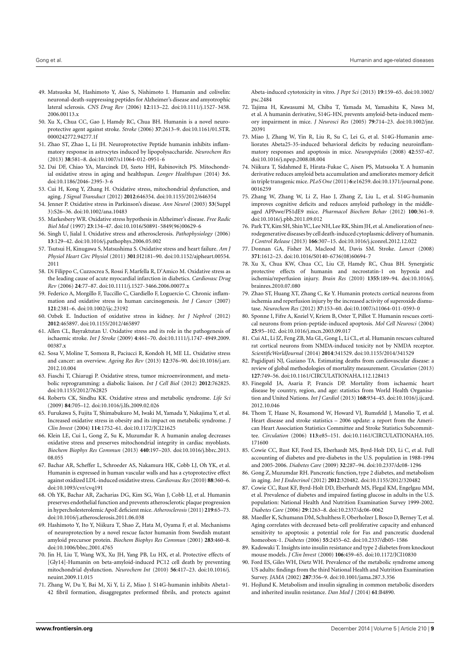- <span id="page-8-0"></span>49. Matsuoka M, Hashimoto Y, Aiso S, Nishimoto I. Humanin and colivelin: neuronal-death-suppressing peptides for Alzheimer's disease and amyotrophic lateral sclerosis. *CNS Drug Rev* (2006) **12**:113–22. doi[:10.1111/j.1527-3458.](http://dx.doi.org/10.1111/j.1527-3458.2006.00113.x) [2006.00113.x](http://dx.doi.org/10.1111/j.1527-3458.2006.00113.x)
- <span id="page-8-1"></span>50. Xu X, Chua CC, Gao J, Hamdy RC, Chua BH. Humanin is a novel neuroprotective agent against stroke. *Stroke* (2006) **37**:2613–9. doi[:10.1161/01.STR.](http://dx.doi.org/10.1161/01.STR.0000242772.94277.1f) [0000242772.94277.1f](http://dx.doi.org/10.1161/01.STR.0000242772.94277.1f)
- <span id="page-8-2"></span>51. Zhao ST, Zhao L, Li JH. Neuroprotective Peptide humanin inhibits inflammatory response in astrocytes induced by lipopolysaccharide. *Neurochem Res* (2013) **38**:581–8. doi[:10.1007/s11064-012-0951-6](http://dx.doi.org/10.1007/s11064-012-0951-6)
- <span id="page-8-3"></span>52. Dai DF, Chiao YA, Marcinek DJ, Szeto HH, Rabinovitch PS. Mitochondrial oxidative stress in aging and healthspan. *Longev Healthspan* (2014) **3**:6. doi[:10.1186/2046-2395-3-6](http://dx.doi.org/10.1186/2046-2395-3-6)
- <span id="page-8-4"></span>53. Cui H, Kong Y, Zhang H. Oxidative stress, mitochondrial dysfunction, and aging. *J Signal Transduct* (2012) **2012**:646354. doi[:10.1155/2012/646354](http://dx.doi.org/10.1155/2012/646354)
- <span id="page-8-5"></span>54. Jenner P. Oxidative stress in Parkinson's disease. *Ann Neurol* (2003) **53**(Suppl 3):S26–36. doi[:10.1002/ana.10483](http://dx.doi.org/10.1002/ana.10483)
- <span id="page-8-6"></span>55. Markesbery WR. Oxidative stress hypothesis in Alzheimer's disease. *Free Radic Biol Med* (1997) **23**:134–47. doi[:10.1016/S0891-5849\(96\)00629-6](http://dx.doi.org/10.1016/S0891-5849(96)00629-6)
- <span id="page-8-7"></span>56. Singh U, Jialal I. Oxidative stress and atherosclerosis. *Pathophysiology* (2006) **13**:129–42. doi[:10.1016/j.pathophys.2006.05.002](http://dx.doi.org/10.1016/j.pathophys.2006.05.002)
- <span id="page-8-8"></span>57. Tsutsui H, Kinugawa S, Matsushima S. Oxidative stress and heart failure. *Am J Physiol Heart Circ Physiol* (2011) **301**:H2181–90. doi[:10.1152/ajpheart.00554.](http://dx.doi.org/10.1152/ajpheart.00554.2011) [2011](http://dx.doi.org/10.1152/ajpheart.00554.2011)
- <span id="page-8-9"></span>58. Di Filippo C, Cuzzocrea S, Rossi F, Marfella R, D'Amico M. Oxidative stress as the leading cause of acute myocardial infarction in diabetics. *Cardiovasc Drug Rev* (2006) **24**:77–87. doi[:10.1111/j.1527-3466.2006.00077.x](http://dx.doi.org/10.1111/j.1527-3466.2006.00077.x)
- <span id="page-8-10"></span>59. Federico A, Morgillo F, Tuccillo C, Ciardiello F, Loguercio C. Chronic inflammation and oxidative stress in human carcinogenesis. *Int J Cancer* (2007) **121**:2381–6. doi[:10.1002/ijc.23192](http://dx.doi.org/10.1002/ijc.23192)
- <span id="page-8-11"></span>60. Ozbek E. Induction of oxidative stress in kidney. *Int J Nephrol* (2012) **2012**:465897. doi[:10.1155/2012/465897](http://dx.doi.org/10.1155/2012/465897)
- <span id="page-8-12"></span>61. Allen CL, Bayraktutan U. Oxidative stress and its role in the pathogenesis of ischaemic stroke. *Int J Stroke* (2009) **4**:461–70. doi[:10.1111/j.1747-4949.2009.](http://dx.doi.org/10.1111/j.1747-4949.2009.00387.x) 00387 x
- <span id="page-8-13"></span>62. Sosa V, Moline T, Somoza R, Paciucci R, Kondoh H, ME LL. Oxidative stress and cancer: an overview. *Ageing Res Rev* (2013) **12**:376–90. doi[:10.1016/j.arr.](http://dx.doi.org/10.1016/j.arr.2012.10.004) [2012.10.004](http://dx.doi.org/10.1016/j.arr.2012.10.004)
- <span id="page-8-14"></span>63. Fiaschi T, Chiarugi P. Oxidative stress, tumor microenvironment, and metabolic reprogramming: a diabolic liaison. *Int J Cell Biol* (2012) **2012**:762825. doi[:10.1155/2012/762825](http://dx.doi.org/10.1155/2012/762825)
- <span id="page-8-15"></span>64. Roberts CK, Sindhu KK. Oxidative stress and metabolic syndrome. *Life Sci* (2009) **84**:705–12. doi[:10.1016/j.lfs.2009.02.026](http://dx.doi.org/10.1016/j.lfs.2009.02.026)
- <span id="page-8-16"></span>65. Furukawa S, Fujita T, Shimabukuro M, Iwaki M, Yamada Y, Nakajima Y, et al. Increased oxidative stress in obesity and its impact on metabolic syndrome. *J Clin Invest* (2004) **114**:1752–61. doi[:10.1172/JCI21625](http://dx.doi.org/10.1172/JCI21625)
- <span id="page-8-17"></span>66. Klein LE, Cui L, Gong Z, Su K, Muzumdar R. A humanin analog decreases oxidative stress and preserves mitochondrial integrity in cardiac myoblasts. *Biochem Biophys Res Commun* (2013) **440**:197–203. doi[:10.1016/j.bbrc.2013.](http://dx.doi.org/10.1016/j.bbrc.2013.08.055) [08.055](http://dx.doi.org/10.1016/j.bbrc.2013.08.055)
- <span id="page-8-35"></span>67. Bachar AR, Scheffer L, Schroeder AS, Nakamura HK, Cobb LJ, Oh YK, et al. Humanin is expressed in human vascular walls and has a cytoprotective effect against oxidized LDL-induced oxidative stress.*Cardiovasc Res* (2010) **88**:360–6. doi[:10.1093/cvr/cvq191](http://dx.doi.org/10.1093/cvr/cvq191)
- <span id="page-8-18"></span>68. Oh YK, Bachar AR, Zacharias DG, Kim SG, Wan J, Cobb LJ, et al. Humanin preserves endothelial function and prevents atherosclerotic plaque progression in hypercholesterolemic ApoE deficient mice.*Atherosclerosis* (2011) **219**:65–73. doi[:10.1016/j.atherosclerosis.2011.06.038](http://dx.doi.org/10.1016/j.atherosclerosis.2011.06.038)
- <span id="page-8-19"></span>69. Hashimoto Y, Ito Y, Niikura T, Shao Z, Hata M, Oyama F, et al. Mechanisms of neuroprotection by a novel rescue factor humanin from Swedish mutant amyloid precursor protein. *Biochem Biophys Res Commun* (2001) **283**:460–8. doi[:10.1006/bbrc.2001.4765](http://dx.doi.org/10.1006/bbrc.2001.4765)
- <span id="page-8-20"></span>70. Jin H, Liu T, Wang WX, Xu JH, Yang PB, Lu HX, et al. Protective effects of [Gly14]-Humanin on beta-amyloid-induced PC12 cell death by preventing mitochondrial dysfunction. *Neurochem Int* (2010) **56**:417–23. doi[:10.1016/j.](http://dx.doi.org/10.1016/j.neuint.2009.11.015) [neuint.2009.11.015](http://dx.doi.org/10.1016/j.neuint.2009.11.015)
- <span id="page-8-21"></span>71. Zhang W, Du Y, Bai M, Xi Y, Li Z, Miao J. S14G-humanin inhibits Abeta1- 42 fibril formation, disaggregates preformed fibrils, and protects against

Abeta-induced cytotoxicity in vitro. *J Pept Sci* (2013) **19**:159–65. doi[:10.1002/](http://dx.doi.org/10.1002/psc.2484) [psc.2484](http://dx.doi.org/10.1002/psc.2484)

- <span id="page-8-22"></span>72. Tajima H, Kawasumi M, Chiba T, Yamada M, Yamashita K, Nawa M, et al. A humanin derivative, S14G-HN, prevents amyloid-beta-induced memory impairment in mice. *J Neurosci Res* (2005) **79**:714–23. doi[:10.1002/jnr.](http://dx.doi.org/10.1002/jnr.20391) [20391](http://dx.doi.org/10.1002/jnr.20391)
- <span id="page-8-23"></span>73. Miao J, Zhang W, Yin R, Liu R, Su C, Lei G, et al. S14G-Humanin ameliorates Abeta25-35-induced behavioral deficits by reducing neuroinflammatory responses and apoptosis in mice. *Neuropeptides* (2008) **42**:557–67. doi[:10.1016/j.npep.2008.08.004](http://dx.doi.org/10.1016/j.npep.2008.08.004)
- <span id="page-8-24"></span>74. Niikura T, Sidahmed E, Hirata-Fukae C, Aisen PS, Matsuoka Y. A humanin derivative reduces amyloid beta accumulation and ameliorates memory deficit in triple transgenic mice. *PLoS One* (2011) **6**:e16259. doi[:10.1371/journal.pone.](http://dx.doi.org/10.1371/journal.pone.0016259) [0016259](http://dx.doi.org/10.1371/journal.pone.0016259)
- <span id="page-8-25"></span>75. Zhang W, Zhang W, Li Z, Hao J, Zhang Z, Liu L, et al. S14G-humanin improves cognitive deficits and reduces amyloid pathology in the middleaged APPswe/PS1dE9 mice. *Pharmacol Biochem Behav* (2012) **100**:361–9. doi[:10.1016/j.pbb.2011.09.012](http://dx.doi.org/10.1016/j.pbb.2011.09.012)
- <span id="page-8-26"></span>76. Park TY, Kim SH, ShinYC, Lee NH, Lee RK, Shim JH, et al. Amelioration of neurodegenerative diseases by cell death-induced cytoplasmic delivery of humanin. *J Control Release* (2013) **166**:307–15. doi[:10.1016/j.jconrel.2012.12.022](http://dx.doi.org/10.1016/j.jconrel.2012.12.022)
- <span id="page-8-27"></span>77. Donnan GA, Fisher M, Macleod M, Davis SM. Stroke. *Lancet* (2008) **371**:1612–23. doi[:10.1016/S0140-6736\(08\)60694-7](http://dx.doi.org/10.1016/S0140-6736(08)60694-7)
- <span id="page-8-28"></span>78. Xu X, Chua KW, Chua CC, Liu CF, Hamdy RC, Chua BH. Synergistic protective effects of humanin and necrostatin-1 on hypoxia and ischemia/reperfusion injury. *Brain Res* (2010) **1355**:189–94. doi[:10.1016/j.](http://dx.doi.org/10.1016/j.brainres.2010.07.080) [brainres.2010.07.080](http://dx.doi.org/10.1016/j.brainres.2010.07.080)
- <span id="page-8-29"></span>79. Zhao ST, Huang XT, Zhang C, Ke Y. Humanin protects cortical neurons from ischemia and reperfusion injury by the increased activity of superoxide dismutase. *Neurochem Res* (2012) **37**:153–60. doi[:10.1007/s11064-011-0593-0](http://dx.doi.org/10.1007/s11064-011-0593-0)
- <span id="page-8-30"></span>80. Sponne I, Fifre A, Koziel V, Kriem B, Oster T, Pillot T. Humanin rescues cortical neurons from prion-peptide-induced apoptosis. *Mol Cell Neurosci* (2004) **25**:95–102. doi[:10.1016/j.mcn.2003.09.017](http://dx.doi.org/10.1016/j.mcn.2003.09.017)
- <span id="page-8-31"></span>81. Cui AL, Li JZ, Feng ZB, Ma GL, Gong L, Li CL, et al. Humanin rescues cultured rat cortical neurons from NMDA-induced toxicity not by NMDA receptor. *ScientificWorldJournal* (2014) **2014**:341529. doi[:10.1155/2014/341529](http://dx.doi.org/10.1155/2014/341529)
- <span id="page-8-32"></span>82. Pagidipati NJ, Gaziano TA. Estimating deaths from cardiovascular disease: a review of global methodologies of mortality measurement. *Circulation* (2013) **127**:749–56. doi[:10.1161/CIRCULATIONAHA.112.128413](http://dx.doi.org/10.1161/CIRCULATIONAHA.112.128413)
- <span id="page-8-33"></span>83. Finegold JA, Asaria P, Francis DP. Mortality from ischaemic heart disease by country, region, and age: statistics from World Health Organisation and United Nations. *Int J Cardiol* (2013) **168**:934–45. doi[:10.1016/j.ijcard.](http://dx.doi.org/10.1016/j.ijcard.2012.10.046) [2012.10.046](http://dx.doi.org/10.1016/j.ijcard.2012.10.046)
- <span id="page-8-34"></span>84. Thom T, Haase N, Rosamond W, Howard VJ, Rumsfeld J, Manolio T, et al. Heart disease and stroke statistics – 2006 update: a report from the American Heart Association Statistics Committee and Stroke Statistics Subcommittee. *Circulation* (2006) **113**:e85–151. doi[:10.1161/CIRCULATIONAHA.105.](http://dx.doi.org/10.1161/CIRCULATIONAHA.105.171600) [171600](http://dx.doi.org/10.1161/CIRCULATIONAHA.105.171600)
- <span id="page-8-36"></span>85. Cowie CC, Rust KF, Ford ES, Eberhardt MS, Byrd-Holt DD, Li C, et al. Full accounting of diabetes and pre-diabetes in the U.S. population in 1988-1994 and 2005-2006. *Diabetes Care* (2009) **32**:287–94. doi[:10.2337/dc08-1296](http://dx.doi.org/10.2337/dc08-1296)
- <span id="page-8-39"></span>86. Gong Z, Muzumdar RH. Pancreatic function, type 2 diabetes, and metabolism in aging. *Int J Endocrinol* (2012) **2012**:320482. doi[:10.1155/2012/320482](http://dx.doi.org/10.1155/2012/320482)
- <span id="page-8-37"></span>87. Cowie CC, Rust KF, Byrd-Holt DD, Eberhardt MS, Flegal KM, Engelgau MM, et al. Prevalence of diabetes and impaired fasting glucose in adults in the U.S. population: National Health And Nutrition Examination Survey 1999-2002. *Diabetes Care* (2006) **29**:1263–8. doi[:10.2337/dc06-0062](http://dx.doi.org/10.2337/dc06-0062)
- <span id="page-8-38"></span>88. Maedler K, Schumann DM, Schulthess F, Oberholzer J, Bosco D, Berney T, et al. Aging correlates with decreased beta-cell proliferative capacity and enhanced sensitivity to apoptosis: a potential role for Fas and pancreatic duodenal homeobox-1. *Diabetes* (2006) **55**:2455–62. doi[:10.2337/db05-1586](http://dx.doi.org/10.2337/db05-1586)
- <span id="page-8-40"></span>89. Kadowaki T. Insights into insulin resistance and type 2 diabetes from knockout mouse models. *J Clin Invest* (2000) **106**:459–65. doi[:10.1172/JCI10830](http://dx.doi.org/10.1172/JCI10830)
- <span id="page-8-41"></span>90. Ford ES, Giles WH, Dietz WH. Prevalence of the metabolic syndrome among US adults: findings from the third National Health and Nutrition Examination Survey. *JAMA* (2002) **287**:356–9. doi[:10.1001/jama.287.3.356](http://dx.doi.org/10.1001/jama.287.3.356)
- <span id="page-8-42"></span>91. Hojlund K. Metabolism and insulin signaling in common metabolic disorders and inherited insulin resistance. *Dan Med J* (2014) **61**:B4890.